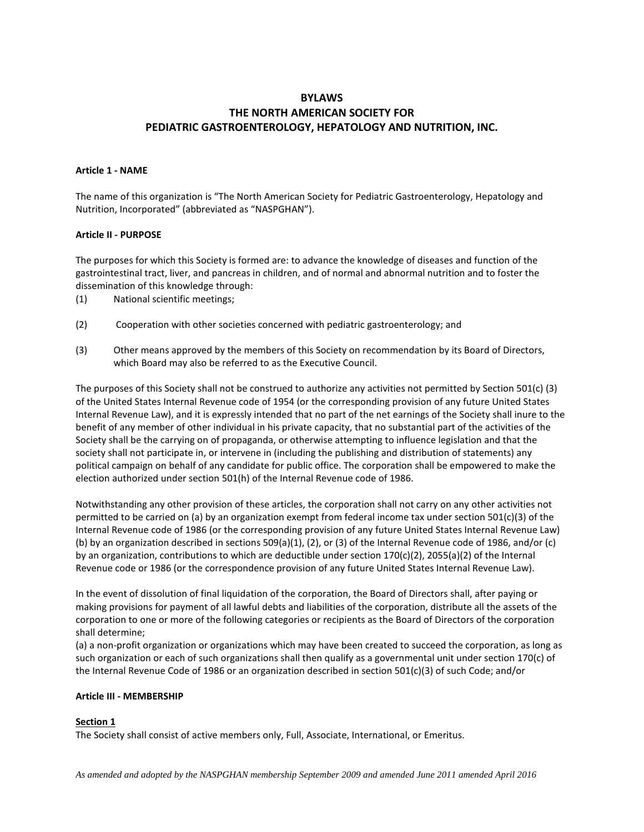# **BYLAWS**

# **THE NORTH AMERICAN SOCIETY FOR PEDIATRIC GASTROENTEROLOGY, HEPATOLOGY AND NUTRITION, INC.**

### **Article 1 - NAME**

The name of this organization is "The North American Society for Pediatric Gastroenterology, Hepatology and Nutrition, Incorporated" (abbreviated as "NASPGHAN").

### **Article II - PURPOSE**

The purposes for which this Society is formed are: to advance the knowledge of diseases and function of the gastrointestinal tract, liver, and pancreas in children, and of normal and abnormal nutrition and to foster the dissemination of this knowledge through:

- (1) National scientific meetings;
- (2) Cooperation with other societies concerned with pediatric gastroenterology; and
- (3) Other means approved by the members of this Society on recommendation by its Board of Directors, which Board may also be referred to as the Executive Council.

The purposes of this Society shall not be construed to authorize any activities not permitted by Section 501(c) (3) of the United States Internal Revenue code of 1954 (or the corresponding provision of any future United States Internal Revenue Law), and it is expressly intended that no part of the net earnings of the Society shall inure to the benefit of any member of other individual in his private capacity, that no substantial part of the activities of the Society shall be the carrying on of propaganda, or otherwise attempting to influence legislation and that the society shall not participate in, or intervene in (including the publishing and distribution of statements) any political campaign on behalf of any candidate for public office. The corporation shall be empowered to make the election authorized under section 501(h) of the Internal Revenue code of 1986.

Notwithstanding any other provision of these articles, the corporation shall not carry on any other activities not permitted to be carried on (a) by an organization exempt from federal income tax under section 501(c)(3) of the Internal Revenue code of 1986 (or the corresponding provision of any future United States Internal Revenue Law) (b) by an organization described in sections 509(a)(1), (2), or (3) of the Internal Revenue code of 1986, and/or (c) by an organization, contributions to which are deductible under section 170(c)(2), 2055(a)(2) of the Internal Revenue code or 1986 (or the correspondence provision of any future United States Internal Revenue Law).

In the event of dissolution of final liquidation of the corporation, the Board of Directors shall, after paying or making provisions for payment of all lawful debts and liabilities of the corporation, distribute all the assets of the corporation to one or more of the following categories or recipients as the Board of Directors of the corporation shall determine;

(a) a non-profit organization or organizations which may have been created to succeed the corporation, as long as such organization or each of such organizations shall then qualify as a governmental unit under section 170(c) of the Internal Revenue Code of 1986 or an organization described in section 501(c)(3) of such Code; and/or

# **Article III - MEMBERSHIP**

# **Section 1**

The Society shall consist of active members only, Full, Associate, International, or Emeritus.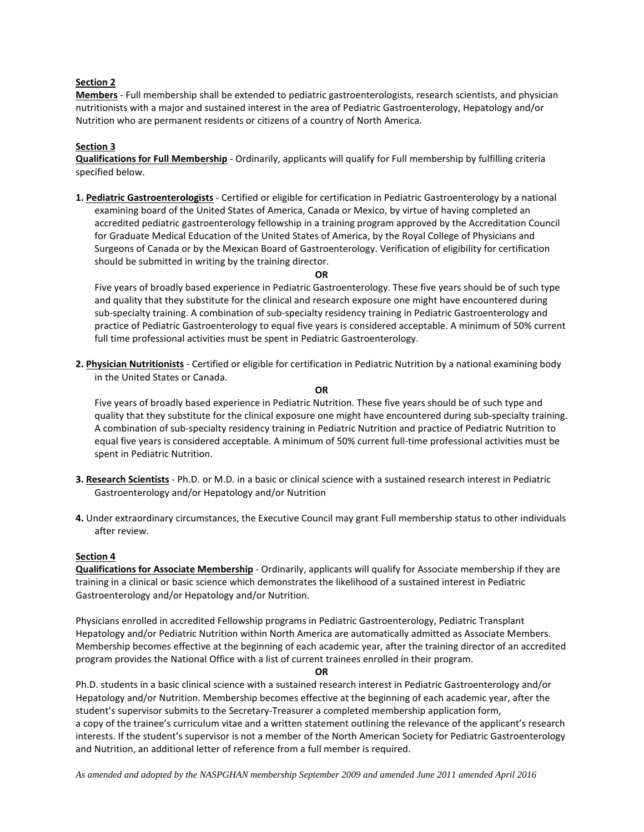# **Section 2**

**Members** - Full membership shall be extended to pediatric gastroenterologists, research scientists, and physician nutritionists with a major and sustained interest in the area of Pediatric Gastroenterology, Hepatology and/or Nutrition who are permanent residents or citizens of a country of North America.

### **Section 3**

**Qualifications for Full Membership** - Ordinarily, applicants will qualify for Full membership by fulfilling criteria specified below.

**1. Pediatric Gastroenterologists** - Certified or eligible for certification in Pediatric Gastroenterology by a national examining board of the United States of America, Canada or Mexico, by virtue of having completed an accredited pediatric gastroenterology fellowship in a training program approved by the Accreditation Council for Graduate Medical Education of the United States of America, by the Royal College of Physicians and Surgeons of Canada or by the Mexican Board of Gastroenterology. Verification of eligibility for certification should be submitted in writing by the training director.

#### **OR**

Five years of broadly based experience in Pediatric Gastroenterology. These five years should be of such type and quality that they substitute for the clinical and research exposure one might have encountered during sub-specialty training. A combination of sub-specialty residency training in Pediatric Gastroenterology and practice of Pediatric Gastroenterology to equal five years is considered acceptable. A minimum of 50% current full time professional activities must be spent in Pediatric Gastroenterology.

**2. Physician Nutritionists** - Certified or eligible for certification in Pediatric Nutrition by a national examining body in the United States or Canada.

#### **OR**

Five years of broadly based experience in Pediatric Nutrition. These five years should be of such type and quality that they substitute for the clinical exposure one might have encountered during sub-specialty training. A combination of sub-specialty residency training in Pediatric Nutrition and practice of Pediatric Nutrition to equal five years is considered acceptable. A minimum of 50% current full-time professional activities must be spent in Pediatric Nutrition.

- **3. Research Scientists** Ph.D. or M.D. in a basic or clinical science with a sustained research interest in Pediatric Gastroenterology and/or Hepatology and/or Nutrition
- **4.** Under extraordinary circumstances, the Executive Council may grant Full membership status to other individuals after review.

#### **Section 4**

**Qualifications for Associate Membership** - Ordinarily, applicants will qualify for Associate membership if they are training in a clinical or basic science which demonstrates the likelihood of a sustained interest in Pediatric Gastroenterology and/or Hepatology and/or Nutrition.

Physicians enrolled in accredited Fellowship programs in Pediatric Gastroenterology, Pediatric Transplant Hepatology and/or Pediatric Nutrition within North America are automatically admitted as Associate Members. Membership becomes effective at the beginning of each academic year, after the training director of an accredited program provides the National Office with a list of current trainees enrolled in their program.

**OR**

Ph.D. students in a basic clinical science with a sustained research interest in Pediatric Gastroenterology and/or Hepatology and/or Nutrition. Membership becomes effective at the beginning of each academic year, after the student's supervisor submits to the Secretary-Treasurer a completed membership application form, a copy of the trainee's curriculum vitae and a written statement outlining the relevance of the applicant's research interests. If the student's supervisor is not a member of the North American Society for Pediatric Gastroenterology and Nutrition, an additional letter of reference from a full member is required.

*As amended and adopted by the NASPGHAN membership September 2009 and amended June 2011 amended April 2016*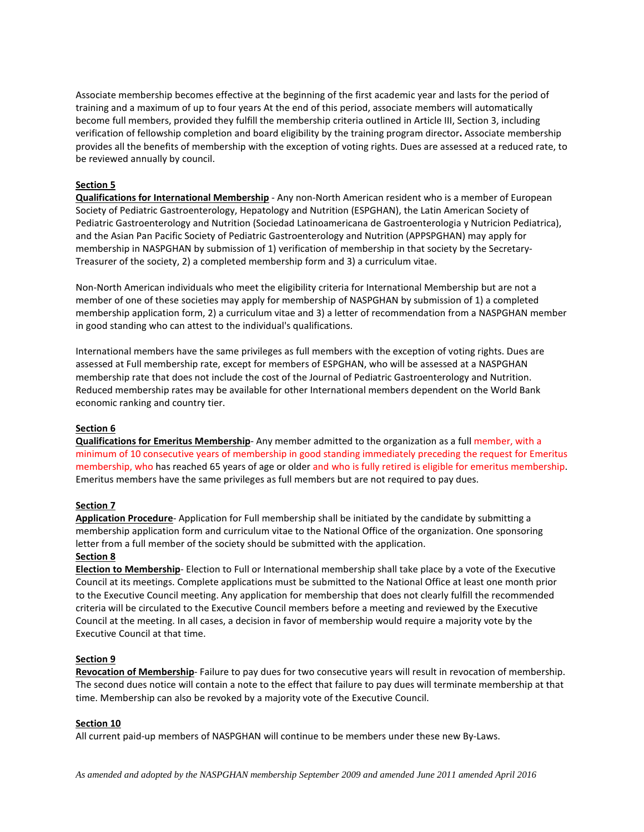Associate membership becomes effective at the beginning of the first academic year and lasts for the period of training and a maximum of up to four years At the end of this period, associate members will automatically become full members, provided they fulfill the membership criteria outlined in Article III, Section 3, including verification of fellowship completion and board eligibility by the training program director**.** Associate membership provides all the benefits of membership with the exception of voting rights. Dues are assessed at a reduced rate, to be reviewed annually by council.

# **Section 5**

**Qualifications for International Membership** - Any non-North American resident who is a member of European Society of Pediatric Gastroenterology, Hepatology and Nutrition (ESPGHAN), the Latin American Society of Pediatric Gastroenterology and Nutrition (Sociedad Latinoamericana de Gastroenterologia y Nutricion Pediatrica), and the Asian Pan Pacific Society of Pediatric Gastroenterology and Nutrition (APPSPGHAN) may apply for membership in NASPGHAN by submission of 1) verification of membership in that society by the Secretary-Treasurer of the society, 2) a completed membership form and 3) a curriculum vitae.

Non-North American individuals who meet the eligibility criteria for International Membership but are not a member of one of these societies may apply for membership of NASPGHAN by submission of 1) a completed membership application form, 2) a curriculum vitae and 3) a letter of recommendation from a NASPGHAN member in good standing who can attest to the individual's qualifications.

International members have the same privileges as full members with the exception of voting rights. Dues are assessed at Full membership rate, except for members of ESPGHAN, who will be assessed at a NASPGHAN membership rate that does not include the cost of the Journal of Pediatric Gastroenterology and Nutrition. Reduced membership rates may be available for other International members dependent on the World Bank economic ranking and country tier.

# **Section 6**

**Qualifications for Emeritus Membership**- Any member admitted to the organization as a full member, with a minimum of 10 consecutive years of membership in good standing immediately preceding the request for Emeritus membership, who has reached 65 years of age or older and who is fully retired is eligible for emeritus membership. Emeritus members have the same privileges as full members but are not required to pay dues.

# **Section 7**

**Application Procedure**- Application for Full membership shall be initiated by the candidate by submitting a membership application form and curriculum vitae to the National Office of the organization. One sponsoring letter from a full member of the society should be submitted with the application.

# **Section 8**

**Election to Membership**- Election to Full or International membership shall take place by a vote of the Executive Council at its meetings. Complete applications must be submitted to the National Office at least one month prior to the Executive Council meeting. Any application for membership that does not clearly fulfill the recommended criteria will be circulated to the Executive Council members before a meeting and reviewed by the Executive Council at the meeting. In all cases, a decision in favor of membership would require a majority vote by the Executive Council at that time.

# **Section 9**

**Revocation of Membership**- Failure to pay dues for two consecutive years will result in revocation of membership. The second dues notice will contain a note to the effect that failure to pay dues will terminate membership at that time. Membership can also be revoked by a majority vote of the Executive Council.

# **Section 10**

All current paid-up members of NASPGHAN will continue to be members under these new By-Laws.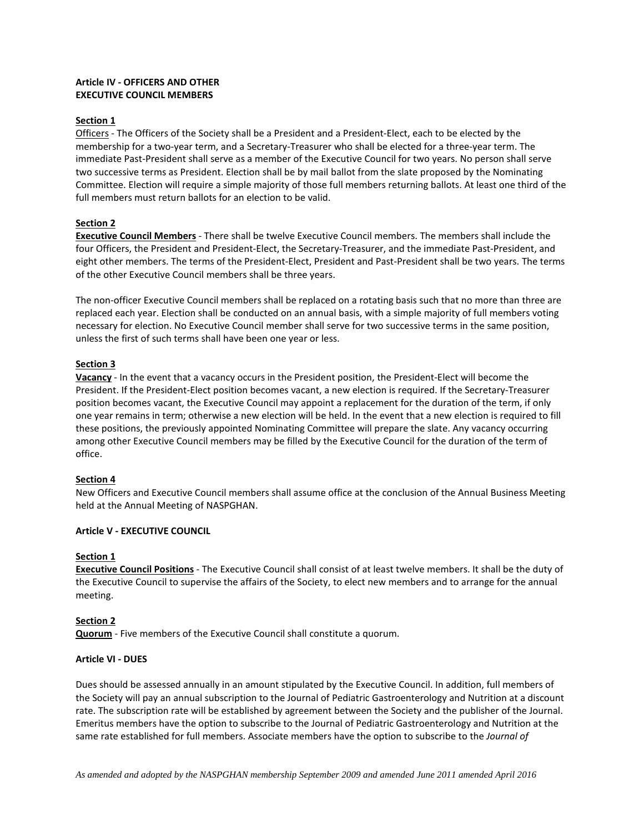# **Article IV - OFFICERS AND OTHER EXECUTIVE COUNCIL MEMBERS**

### **Section 1**

Officers - The Officers of the Society shall be a President and a President-Elect, each to be elected by the membership for a two-year term, and a Secretary-Treasurer who shall be elected for a three-year term. The immediate Past-President shall serve as a member of the Executive Council for two years. No person shall serve two successive terms as President. Election shall be by mail ballot from the slate proposed by the Nominating Committee. Election will require a simple majority of those full members returning ballots. At least one third of the full members must return ballots for an election to be valid.

### **Section 2**

**Executive Council Members** - There shall be twelve Executive Council members. The members shall include the four Officers, the President and President-Elect, the Secretary-Treasurer, and the immediate Past-President, and eight other members. The terms of the President-Elect, President and Past-President shall be two years. The terms of the other Executive Council members shall be three years.

The non-officer Executive Council members shall be replaced on a rotating basis such that no more than three are replaced each year. Election shall be conducted on an annual basis, with a simple majority of full members voting necessary for election. No Executive Council member shall serve for two successive terms in the same position, unless the first of such terms shall have been one year or less.

### **Section 3**

**Vacancy** - In the event that a vacancy occurs in the President position, the President-Elect will become the President. If the President-Elect position becomes vacant, a new election is required. If the Secretary-Treasurer position becomes vacant, the Executive Council may appoint a replacement for the duration of the term, if only one year remains in term; otherwise a new election will be held. In the event that a new election is required to fill these positions, the previously appointed Nominating Committee will prepare the slate. Any vacancy occurring among other Executive Council members may be filled by the Executive Council for the duration of the term of office.

#### **Section 4**

New Officers and Executive Council members shall assume office at the conclusion of the Annual Business Meeting held at the Annual Meeting of NASPGHAN.

#### **Article V - EXECUTIVE COUNCIL**

# **Section 1**

**Executive Council Positions** - The Executive Council shall consist of at least twelve members. It shall be the duty of the Executive Council to supervise the affairs of the Society, to elect new members and to arrange for the annual meeting.

#### **Section 2**

**Quorum** - Five members of the Executive Council shall constitute a quorum.

#### **Article VI - DUES**

Dues should be assessed annually in an amount stipulated by the Executive Council. In addition, full members of the Society will pay an annual subscription to the Journal of Pediatric Gastroenterology and Nutrition at a discount rate. The subscription rate will be established by agreement between the Society and the publisher of the Journal. Emeritus members have the option to subscribe to the Journal of Pediatric Gastroenterology and Nutrition at the same rate established for full members. Associate members have the option to subscribe to the *Journal of*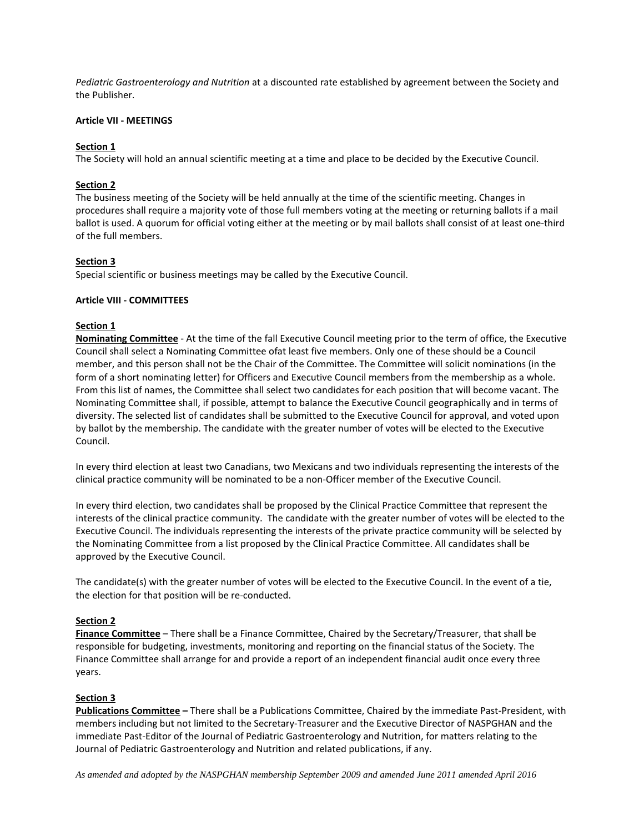*Pediatric Gastroenterology and Nutrition* at a discounted rate established by agreement between the Society and the Publisher.

## **Article VII - MEETINGS**

# **Section 1**

The Society will hold an annual scientific meeting at a time and place to be decided by the Executive Council.

# **Section 2**

The business meeting of the Society will be held annually at the time of the scientific meeting. Changes in procedures shall require a majority vote of those full members voting at the meeting or returning ballots if a mail ballot is used. A quorum for official voting either at the meeting or by mail ballots shall consist of at least one-third of the full members.

### **Section 3**

Special scientific or business meetings may be called by the Executive Council.

# **Article VIII - COMMITTEES**

### **Section 1**

**Nominating Committee** - At the time of the fall Executive Council meeting prior to the term of office, the Executive Council shall select a Nominating Committee ofat least five members. Only one of these should be a Council member, and this person shall not be the Chair of the Committee. The Committee will solicit nominations (in the form of a short nominating letter) for Officers and Executive Council members from the membership as a whole. From this list of names, the Committee shall select two candidates for each position that will become vacant. The Nominating Committee shall, if possible, attempt to balance the Executive Council geographically and in terms of diversity. The selected list of candidates shall be submitted to the Executive Council for approval, and voted upon by ballot by the membership. The candidate with the greater number of votes will be elected to the Executive Council.

In every third election at least two Canadians, two Mexicans and two individuals representing the interests of the clinical practice community will be nominated to be a non-Officer member of the Executive Council.

In every third election, two candidates shall be proposed by the Clinical Practice Committee that represent the interests of the clinical practice community. The candidate with the greater number of votes will be elected to the Executive Council. The individuals representing the interests of the private practice community will be selected by the Nominating Committee from a list proposed by the Clinical Practice Committee. All candidates shall be approved by the Executive Council.

The candidate(s) with the greater number of votes will be elected to the Executive Council. In the event of a tie, the election for that position will be re-conducted.

# **Section 2**

**Finance Committee** – There shall be a Finance Committee, Chaired by the Secretary/Treasurer, that shall be responsible for budgeting, investments, monitoring and reporting on the financial status of the Society. The Finance Committee shall arrange for and provide a report of an independent financial audit once every three years.

#### **Section 3**

**Publications Committee –** There shall be a Publications Committee, Chaired by the immediate Past-President, with members including but not limited to the Secretary-Treasurer and the Executive Director of NASPGHAN and the immediate Past-Editor of the Journal of Pediatric Gastroenterology and Nutrition, for matters relating to the Journal of Pediatric Gastroenterology and Nutrition and related publications, if any.

*As amended and adopted by the NASPGHAN membership September 2009 and amended June 2011 amended April 2016*